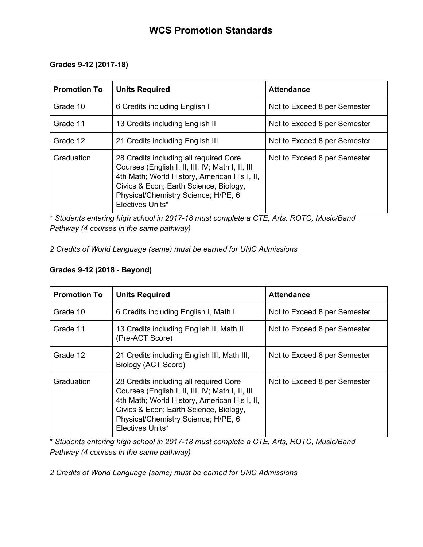## **Grades 9-12 (2017-18)**

| <b>Promotion To</b> | <b>Units Required</b>                                                                                                                                                                                                                           | <b>Attendance</b>            |
|---------------------|-------------------------------------------------------------------------------------------------------------------------------------------------------------------------------------------------------------------------------------------------|------------------------------|
| Grade 10            | 6 Credits including English I                                                                                                                                                                                                                   | Not to Exceed 8 per Semester |
| Grade 11            | 13 Credits including English II                                                                                                                                                                                                                 | Not to Exceed 8 per Semester |
| Grade 12            | 21 Credits including English III                                                                                                                                                                                                                | Not to Exceed 8 per Semester |
| Graduation          | 28 Credits including all required Core<br>Courses (English I, II, III, IV; Math I, II, III<br>4th Math; World History, American His I, II,<br>Civics & Econ; Earth Science, Biology,<br>Physical/Chemistry Science; H/PE, 6<br>Electives Units* | Not to Exceed 8 per Semester |

\* *Students entering high school in 2017-18 must complete a CTE, Arts, ROTC, Music/Band Pathway (4 courses in the same pathway)*

*2 Credits of World Language (same) must be earned for UNC Admissions*

## **Grades 9-12 (2018 - Beyond)**

| <b>Promotion To</b> | <b>Units Required</b>                                                                                                                                                                                                                           | <b>Attendance</b>            |
|---------------------|-------------------------------------------------------------------------------------------------------------------------------------------------------------------------------------------------------------------------------------------------|------------------------------|
| Grade 10            | 6 Credits including English I, Math I                                                                                                                                                                                                           | Not to Exceed 8 per Semester |
| Grade 11            | 13 Credits including English II, Math II<br>(Pre-ACT Score)                                                                                                                                                                                     | Not to Exceed 8 per Semester |
| Grade 12            | 21 Credits including English III, Math III,<br>Biology (ACT Score)                                                                                                                                                                              | Not to Exceed 8 per Semester |
| Graduation          | 28 Credits including all required Core<br>Courses (English I, II, III, IV; Math I, II, III<br>4th Math; World History, American His I, II,<br>Civics & Econ; Earth Science, Biology,<br>Physical/Chemistry Science; H/PE, 6<br>Electives Units* | Not to Exceed 8 per Semester |

\* *Students entering high school in 2017-18 must complete a CTE, Arts, ROTC, Music/Band Pathway (4 courses in the same pathway)*

*2 Credits of World Language (same) must be earned for UNC Admissions*